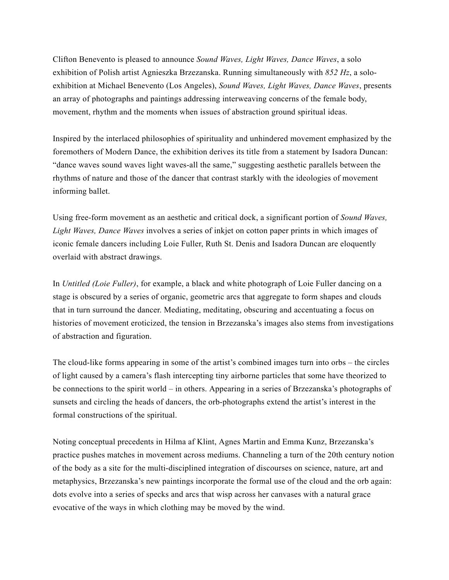Clifton Benevento is pleased to announce *Sound Waves, Light Waves, Dance Waves*, a solo exhibition of Polish artist Agnieszka Brzezanska. Running simultaneously with *852 Hz*, a soloexhibition at Michael Benevento (Los Angeles), *Sound Waves, Light Waves, Dance Waves*, presents an array of photographs and paintings addressing interweaving concerns of the female body, movement, rhythm and the moments when issues of abstraction ground spiritual ideas.

Inspired by the interlaced philosophies of spirituality and unhindered movement emphasized by the foremothers of Modern Dance, the exhibition derives its title from a statement by Isadora Duncan: "dance waves sound waves light waves-all the same," suggesting aesthetic parallels between the rhythms of nature and those of the dancer that contrast starkly with the ideologies of movement informing ballet.

Using free-form movement as an aesthetic and critical dock, a significant portion of *Sound Waves, Light Waves, Dance Waves* involves a series of inkjet on cotton paper prints in which images of iconic female dancers including Loie Fuller, Ruth St. Denis and Isadora Duncan are eloquently overlaid with abstract drawings.

In *Untitled (Loie Fuller)*, for example, a black and white photograph of Loie Fuller dancing on a stage is obscured by a series of organic, geometric arcs that aggregate to form shapes and clouds that in turn surround the dancer. Mediating, meditating, obscuring and accentuating a focus on histories of movement eroticized, the tension in Brzezanska's images also stems from investigations of abstraction and figuration.

The cloud-like forms appearing in some of the artist's combined images turn into orbs – the circles of light caused by a camera's flash intercepting tiny airborne particles that some have theorized to be connections to the spirit world – in others. Appearing in a series of Brzezanska's photographs of sunsets and circling the heads of dancers, the orb-photographs extend the artist's interest in the formal constructions of the spiritual.

Noting conceptual precedents in Hilma af Klint, Agnes Martin and Emma Kunz, Brzezanska's practice pushes matches in movement across mediums. Channeling a turn of the 20th century notion of the body as a site for the multi-disciplined integration of discourses on science, nature, art and metaphysics, Brzezanska's new paintings incorporate the formal use of the cloud and the orb again: dots evolve into a series of specks and arcs that wisp across her canvases with a natural grace evocative of the ways in which clothing may be moved by the wind.